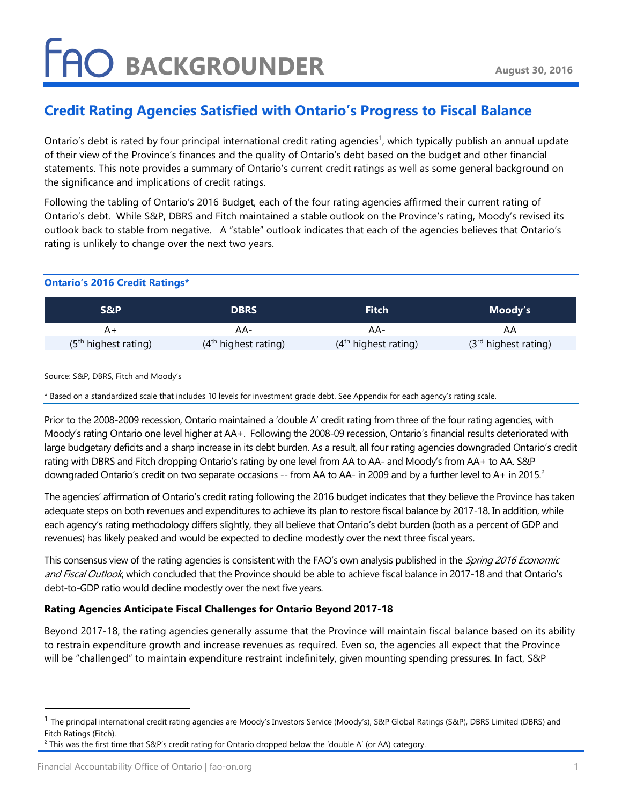## **FAO BACKGROUNDER**

### Credit Rating Agencies Satisfied with Ontario's Progress to Fiscal Balance

Ontario's debt is rated by four principal international credit rating agencies<sup>1</sup>, which typically publish an annual update of their view of the Province's finances and the quality of Ontario's debt based on the budget and other financial statements. This note provides a summary of Ontario's current credit ratings as well as some general background on the significance and implications of credit ratings.

Following the tabling of Ontario's 2016 Budget, each of the four rating agencies affirmed their current rating of Ontario's debt. While S&P, DBRS and Fitch maintained a stable outlook on the Province's rating, Moody's revised its outlook back to stable from negative. A "stable" outlook indicates that each of the agencies believes that Ontario's rating is unlikely to change over the next two years.

### Ontario's 2016 Credit Ratings\*

| S&P                    | <b>DBRS</b>            | <b>Fitch</b>           | Moody's                |
|------------------------|------------------------|------------------------|------------------------|
|                        | AA-                    | AA-                    | AΑ                     |
| $(5th$ highest rating) | $(4th$ highest rating) | $(4th$ highest rating) | $(3rd$ highest rating) |

Source: S&P, DBRS, Fitch and Moody's

\* Based on a standardized scale that includes 10 levels for investment grade debt. See Appendix for each agency's rating scale.

Prior to the 2008-2009 recession, Ontario maintained a 'double A' credit rating from three of the four rating agencies, with Moody's rating Ontario one level higher at AA+. Following the 2008-09 recession, Ontario's financial results deteriorated with large budgetary deficits and a sharp increase in its debt burden. As a result, all four rating agencies downgraded Ontario's credit rating with DBRS and Fitch dropping Ontario's rating by one level from AA to AA- and Moody's from AA+ to AA. S&P downgraded Ontario's credit on two separate occasions -- from AA to AA- in 2009 and by a further level to A+ in 2015.<sup>2</sup>

The agencies' affirmation of Ontario's credit rating following the 2016 budget indicates that they believe the Province has taken adequate steps on both revenues and expenditures to achieve its plan to restore fiscal balance by 2017-18. In addition, while each agency's rating methodology differs slightly, they all believe that Ontario's debt burden (both as a percent of GDP and revenues) has likely peaked and would be expected to decline modestly over the next three fiscal years.

This consensus view of the rating agencies is consistent with the FAO's own analysis published in the Spring 2016 Economic and Fiscal Outlook, which concluded that the Province should be able to achieve fiscal balance in 2017-18 and that Ontario's debt-to-GDP ratio would decline modestly over the next five years.

### Rating Agencies Anticipate Fiscal Challenges for Ontario Beyond 2017-18

Beyond 2017-18, the rating agencies generally assume that the Province will maintain fiscal balance based on its ability to restrain expenditure growth and increase revenues as required. Even so, the agencies all expect that the Province will be "challenged" to maintain expenditure restraint indefinitely, given mounting spending pressures. In fact, S&P

-

<sup>&</sup>lt;sup>1</sup> The principal international credit rating agencies are Moody's Investors Service (Moody's), S&P Global Ratings (S&P), DBRS Limited (DBRS) and Fitch Ratings (Fitch).

 $^2$  This was the first time that S&P's credit rating for Ontario dropped below the 'double A' (or AA) category.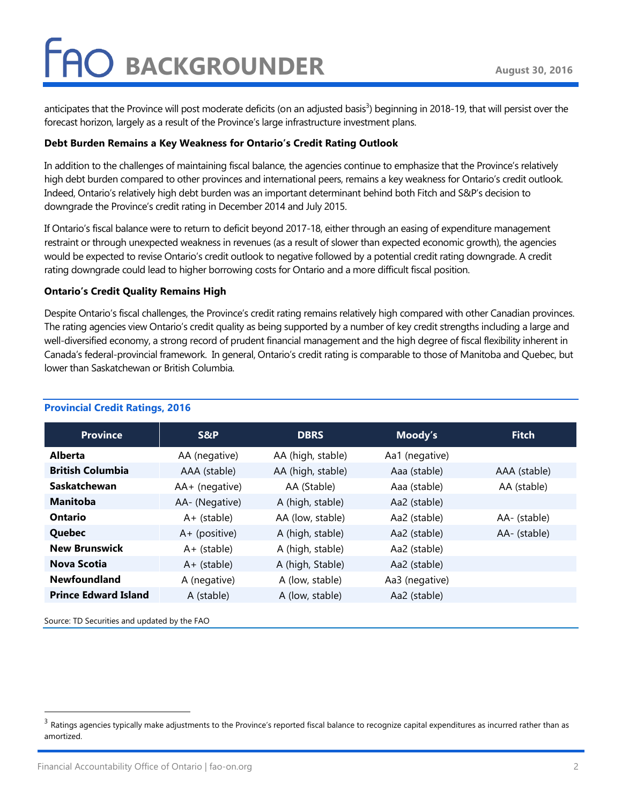# O BACKGROUNDER

anticipates that the Province will post moderate deficits (on an adjusted basis<sup>3</sup>) beginning in 2018-19, that will persist over the forecast horizon, largely as a result of the Province's large infrastructure investment plans.

#### Debt Burden Remains a Key Weakness for Ontario's Credit Rating Outlook

In addition to the challenges of maintaining fiscal balance, the agencies continue to emphasize that the Province's relatively high debt burden compared to other provinces and international peers, remains a key weakness for Ontario's credit outlook. Indeed, Ontario's relatively high debt burden was an important determinant behind both Fitch and S&P's decision to downgrade the Province's credit rating in December 2014 and July 2015.

If Ontario's fiscal balance were to return to deficit beyond 2017-18, either through an easing of expenditure management restraint or through unexpected weakness in revenues (as a result of slower than expected economic growth), the agencies would be expected to revise Ontario's credit outlook to negative followed by a potential credit rating downgrade. A credit rating downgrade could lead to higher borrowing costs for Ontario and a more difficult fiscal position.

#### Ontario's Credit Quality Remains High

Despite Ontario's fiscal challenges, the Province's credit rating remains relatively high compared with other Canadian provinces. The rating agencies view Ontario's credit quality as being supported by a number of key credit strengths including a large and well-diversified economy, a strong record of prudent financial management and the high degree of fiscal flexibility inherent in Canada's federal-provincial framework. In general, Ontario's credit rating is comparable to those of Manitoba and Quebec, but lower than Saskatchewan or British Columbia.

| <b>Province</b>             | S&P              | <b>DBRS</b>       | Moody's        | <b>Fitch</b> |
|-----------------------------|------------------|-------------------|----------------|--------------|
| <b>Alberta</b>              | AA (negative)    | AA (high, stable) | Aa1 (negative) |              |
| <b>British Columbia</b>     | AAA (stable)     | AA (high, stable) | Aaa (stable)   | AAA (stable) |
| <b>Saskatchewan</b>         | $AA+$ (negative) | AA (Stable)       | Aaa (stable)   | AA (stable)  |
| <b>Manitoba</b>             | AA- (Negative)   | A (high, stable)  | Aa2 (stable)   |              |
| <b>Ontario</b>              | $A+$ (stable)    | AA (low, stable)  | Aa2 (stable)   | AA- (stable) |
| Quebec                      | $A+$ (positive)  | A (high, stable)  | Aa2 (stable)   | AA- (stable) |
| <b>New Brunswick</b>        | $A+$ (stable)    | A (high, stable)  | Aa2 (stable)   |              |
| Nova Scotia                 | $A+$ (stable)    | A (high, Stable)  | Aa2 (stable)   |              |
| <b>Newfoundland</b>         | A (negative)     | A (low, stable)   | Aa3 (negative) |              |
| <b>Prince Edward Island</b> | A (stable)       | A (low, stable)   | Aa2 (stable)   |              |

#### Provincial Credit Ratings, 2016

Source: TD Securities and updated by the FAO

l

 $^3$  Ratings agencies typically make adjustments to the Province's reported fiscal balance to recognize capital expenditures as incurred rather than as amortized.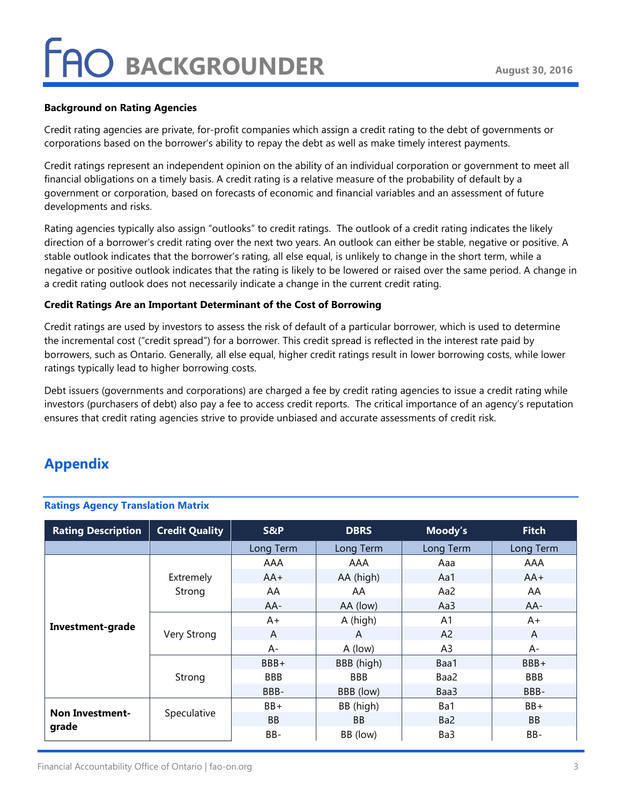# O BACKGROUNDER

#### Background on Rating Agencies

Credit rating agencies are private, for-profit companies which assign a credit rating to the debt of governments or corporations based on the borrower's ability to repay the debt as well as make timely interest payments.

Credit ratings represent an independent opinion on the ability of an individual corporation or government to meet all financial obligations on a timely basis. A credit rating is a relative measure of the probability of default by a government or corporation, based on forecasts of economic and financial variables and an assessment of future developments and risks.

Rating agencies typically also assign "outlooks" to credit ratings. The outlook of a credit rating indicates the likely direction of a borrower's credit rating over the next two years. An outlook can either be stable, negative or positive. A stable outlook indicates that the borrower's rating, all else equal, is unlikely to change in the short term, while a negative or positive outlook indicates that the rating is likely to be lowered or raised over the same period. A change in a credit rating outlook does not necessarily indicate a change in the current credit rating.

#### Credit Ratings Are an Important Determinant of the Cost of Borrowing

Credit ratings are used by investors to assess the risk of default of a particular borrower, which is used to determine the incremental cost ("credit spread") for a borrower. This credit spread is reflected in the interest rate paid by borrowers, such as Ontario. Generally, all else equal, higher credit ratings result in lower borrowing costs, while lower ratings typically lead to higher borrowing costs.

Debt issuers (governments and corporations) are charged a fee by credit rating agencies to issue a credit rating while investors (purchasers of debt) also pay a fee to access credit reports. The critical importance of an agency's reputation ensures that credit rating agencies strive to provide unbiased and accurate assessments of credit risk.

### Appendix

| <b>Rating Description</b>       | <b>Credit Quality</b> | S&P        | <b>DBRS</b> | Moody's         | <b>Fitch</b> |
|---------------------------------|-----------------------|------------|-------------|-----------------|--------------|
|                                 |                       | Long Term  | Long Term   | Long Term       | Long Term    |
| Investment-grade                | Extremely<br>Strong   | AAA        | AAA         | Aaa             | AAA          |
|                                 |                       | $AA+$      | AA (high)   | Aa1             | $AA+$        |
|                                 |                       | AA         | AA          | Aa2             | AA           |
|                                 |                       | $AA-$      | AA (low)    | Aa3             | AA-          |
|                                 | Very Strong           | $A+$       | A (high)    | A <sub>1</sub>  | $A+$         |
|                                 |                       | A          | A           | A <sub>2</sub>  | A            |
|                                 |                       | A-         | A (low)     | A <sub>3</sub>  | $A -$        |
|                                 | Strong                | BBB+       | BBB (high)  | Baa1            | $BBB+$       |
|                                 |                       | <b>BBB</b> | <b>BBB</b>  | Baa2            | <b>BBB</b>   |
|                                 |                       | BBB-       | BBB (low)   | Baa3            | BBB-         |
| <b>Non Investment-</b><br>grade | Speculative           | $BB+$      | BB (high)   | Ba1             | $BB+$        |
|                                 |                       | <b>BB</b>  | <b>BB</b>   | Ba <sub>2</sub> | <b>BB</b>    |
|                                 |                       | BB-        | BB (low)    | Ba3             | BB-          |

#### Ratings Agency Translation Matrix